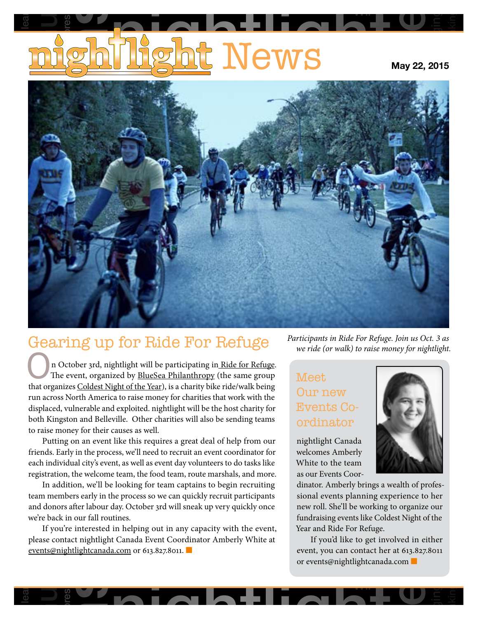# <u>t</u> News Guelphia lear **Pressi** alcoholism<br>D

**May 22, 2015**

Wii

longing

rethinking



## Gearing up for Ride For Refuge

both Kingston and Belleville. Other charities will also be sending teams<br>to raise money for their causes as well.<br>Putting on an event like this requires a great deal of help from our<br>friends. Early in the process, we'll ne Ine event, organized by Bluesea Philanthropy (the same group<br>
that organizes [Coldest Night of the Year](http://coldestnightoftheyear.org)), is a charity bike ride/walk being<br>
tun across North America to raise money for charities that work with the<br>
displace In October 3rd, nightlight will be participating i[n Ride for Refuge.](https://rideforrefuge.org/)<br>The event, organized by <u>BlueSea Philanthropy</u> (the same group<br>that organizes Coldest Night of the Year) is a charity bike ride/walk being The event, organized by **BlueSea Philanthropy** (the same group run across North America to raise money for charities that work with the displaced, vulnerable and exploited. nightlight will be the host charity for to raise money for their causes as well.

nt, as well as event day volunteers to<br>excell team, the food team, route marsh<br>looking for team cantains to be Futurig on an event like this requires a great deal of help from our<br>friends. Early in the process, we'll need to recruit an event coordinator for use money for their causes as wen.<br>Putting on an event like this requires a great deal of help from our Friend<br>Friend<br>each<br>regist<br>Iteam<br>and c each individual city's event, as well as event day volunteers to do tasks like registration, the welcome team, the food team, route marshals, and more.

ny in the process, we in head to recruit an event coordinator for welcomes Amberly<br>
dual city's event, as well as event day volunteers to do tasks like White to the team<br>
on, the welcome team, the food team, route marshals In addition, we'll be looking for team captains to begin recruiting<br>team members early in the process so we can quickly recruit participants<br>and donors after labour day. October 3rd will sneak up very quickly once<br>we're ba Early in the process, we'll need to recruit an event coordinator is<br>iividual city's event, as well as event day volunteers to do tasks li<br>ion, the welcome team, the food team, route marshals, and mo<br>ddition, we'll be looki need In addition, we'll be looking for team captains to begin recruiting and donors after labour day. October 3rd will sneak up very quickly once we're back in our fall routines.

referred in Helping out in any capacity with the event,<br>please contact nightlight Canada Event Coordinator Amberly White at<br>events@nightlightcanada.com or 613.827.8011.  $\frac{1}{2}$ If you<br>ease contents<br>only piease contact ingningm Canada Event Coordi.<br><u>[events@nightlightcanada.com](mailto:events%40nightlightcanada.com?subject=)</u> or 613.827.8011. If you're interested in helping out in any capacity with the event,

*Participants in Ride For Refuge. Join us Oct. 3 as we ride (or walk) to raise money for nightlight.* 

#### ordinator rity for Events meer<br>Our new<br>Events Co-Our new Meet

nightlight Canada<br>welcomes Amberly<br>White to the team welcomes Amberly White to the team as our Events Coor-

suffer



**p** 

longing

 $\overline{\phantom{a}}$ 

rethinking

Sour Evinator.<br>
Moral evinal evinal<br>
ewiroll.<br>
Indraisie<br>
ear and<br>
If yo<br>
vent, yo<br>
revents while to the team<br>as our Events Coor-<br>dinator. Amberly brings a wealth of profes- $\frac{1}{1}$ <br>sional events planning experience to her fundraising events like Coldest Night of the<br>fundraising events like Coldest Night of the<br>Year and Ride For Refuge new roll. She'll be working to organize our Year and Ride For Refuge.

i'd like to get involved in eithe:<br>u can contact her at 613.827.801<br>@nightlightcanada.com and Ride For Retuge.<br>If you'd like to get involved in either event, you can contact her at 613.827.8011 or events@nightlightcanada.com ■

wii

pressives